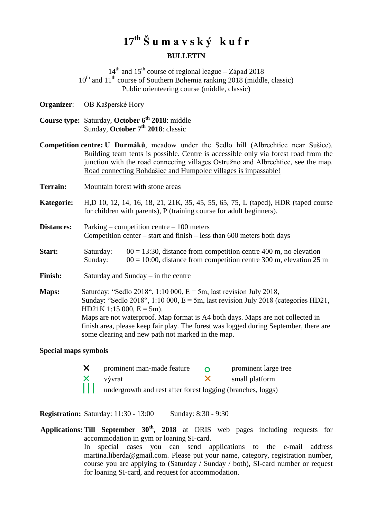# **17th Š u m a v s k ý k u f r BULLETIN**

 $14<sup>th</sup>$  and  $15<sup>th</sup>$  course of regional league – Západ 2018  $10<sup>th</sup>$  and  $11<sup>th</sup>$  course of Southern Bohemia ranking 2018 (middle, classic) Public orienteering course (middle, classic)

**Organizer**: OB Kašperské Hory

**Course type:** Saturday, **October 6th 2018**: middle Sunday, **October 7th 2018**: classic

**Competition centre: U Durmáků**, meadow under the Sedlo hill (Albrechtice near Sušice). Building team tents is possible. Centre is accessible only via forest road from the junction with the road connecting villages Ostružno and Albrechtice, see the map. Road connecting Bohdašice and Humpolec villages is impassable!

- **Terrain:** Mountain forest with stone areas
- **Kategorie:** H,D 10, 12, 14, 16, 18, 21, 21K, 35, 45, 55, 65, 75, L (taped), HDR (taped course for children with parents), P (training course for adult beginners).

**Distances:** Parking – competition centre – 100 meters Competition center – start and finish – less than 600 meters both days

**Start:** Saturday:  $00 = 13:30$ , distance from competition centre 400 m, no elevation Sunday:  $00 = 10:00$ , distance from competition centre 300 m, elevation 25 m

Finish: Saturday and Sunday – in the centre

**Maps:** Saturday: "Sedlo 2018", 1:10 000, E = 5m, last revision July 2018, Sunday: "Sedlo 2018", 1:10 000,  $E = 5m$ , last revision July 2018 (categories HD21,  $HD21K 1:15 000, E = 5m$ . Maps are not waterproof. Map format is A4 both days. Maps are not collected in finish area, please keep fair play. The forest was logged during September, there are some clearing and new path not marked in the map.

#### **Special maps symbols**

X prominent man-made feature <br>  $\times$  prominent large tree<br>  $\times$  small platform vývrat small platform undergrowth and rest after forest logging (branches, loggs)

**Registration:** Saturday: 11:30 - 13:00 Sunday: 8:30 - 9:30

**Applications: Till September 30th, 2018** at ORIS web pages including requests for accommodation in gym or loaning SI-card. In special cases you can send applications to the e-mail address martina.liberda@gmail.com. Please put your name, category, registration number, course you are applying to (Saturday / Sunday / both), SI-card number or request for loaning SI-card, and request for accommodation.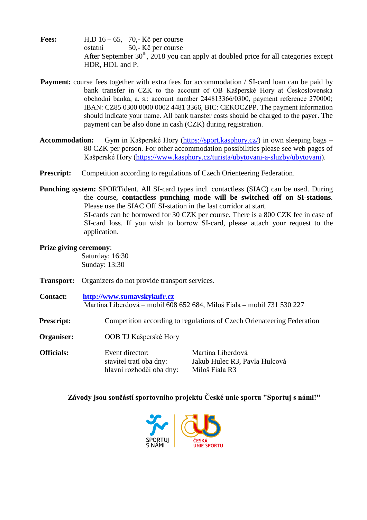- **Fees:** H,D 16 65, 70,- Kč per course ostatní 50,- Kč per course After September  $30<sup>th</sup>$ , 2018 you can apply at doubled price for all categories except HDR, HDL and P.
- **Payment:** course fees together with extra fees for accommodation / SI-card loan can be paid by bank transfer in CZK to the account of OB Kašperské Hory at Československá obchodní banka, a. s.: account number 244813366/0300, payment reference 270000; IBAN: CZ85 0300 0000 0002 4481 3366, BIC: CEKOCZPP. The payment information should indicate your name. All bank transfer costs should be charged to the payer. The payment can be also done in cash (CZK) during registration.
- **Accommodation:** Gym in Kašperské Hory [\(https://sport.kasphory.cz/\)](https://sport.kasphory.cz/) in own sleeping bags 80 CZK per person. For other accommodation possibilities please see web pages of Kašperské Hory [\(https://www.kasphory.cz/turista/ubytovani-a-sluzby/ubytovani\)](https://www.kasphory.cz/turista/ubytovani-a-sluzby/ubytovani).
- **Prescript:** Competition according to regulations of Czech Orienteering Federation.
- **Punching system:** SPORTident. All SI-card types incl. contactless (SIAC) can be used. During the course, **contactless punching mode will be switched off on SI-stations**. Please use the SIAC Off SI-station in the last corridor at start. SI-cards can be borrowed for 30 CZK per course. There is a 800 CZK fee in case of SI-card loss. If you wish to borrow SI-card, please attach your request to the application.

### **Prize giving ceremony**:

Saturday: 16:30 Sunday: 13:30

- **Transport:** Organizers do not provide transport services.
- **Contact: [http://www.sumavskykufr.cz](http://www.sumavskykufr.cz/)** Martina Liberdová – mobil 608 652 684, Miloš Fiala **–** mobil 731 530 227
- **Prescript:** Competition according to regulations of Czech Orienateering Federation
- **Organiser:** OOB TJ Kašperské Hory

**Officials:** Event director: Martina Liberdová stavitel tratí oba dny: Jakub Hulec R3, Pavla Hulcová hlavní rozhodčí oba dny: Miloš Fiala R3

### **Závody jsou součástí sportovního projektu České unie sportu "Sportuj s námi!"**